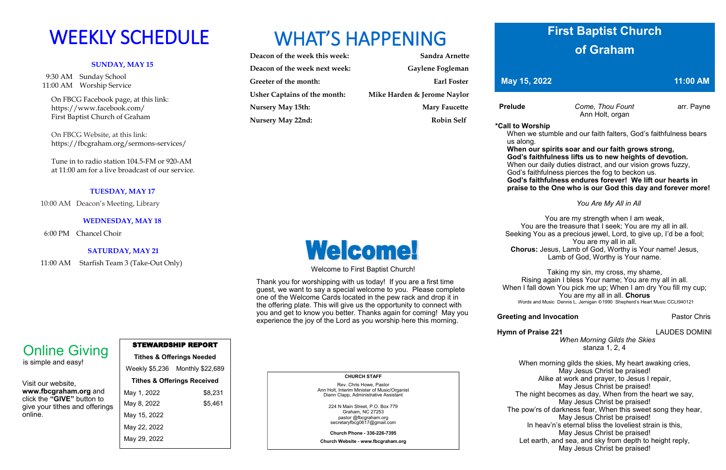### **SUNDAY, MAY 15**

 9:30 AM Sunday School 11:00 AM Worship Service

 On FBCG Facebook page, at this link: [https://www.facebook.com/](https://www.facebook.com/First%20Baptist%20Church%20of%20Graham)  [First Baptist Church of Graham](https://www.facebook.com/First%20Baptist%20Church%20of%20Graham)

 On FBCG Website, at this link: <https://fbcgraham.org/sermons-services/>

 Tune in to radio station 104.5-FM or 920-AM at 11:00 am for a live broadcast of our service.

### **TUESDAY, MAY 17**

10:00 AM Deacon's Meeting, Library

### **WEDNESDAY, MAY 18**

6:00 PM Chancel Choir

### **SATURDAY, MAY 21**

11:00 AM Starfish Team 3 (Take-Out Only)

# WEEKLY SCHEDULE WHAT'S HAPPENING

| Deacon of the week this week:       | Sandra Arnette              |
|-------------------------------------|-----------------------------|
| Deacon of the week next week:       | Gaylene Fogleman            |
| Greeter of the month:               | <b>Earl Foster</b>          |
| <b>Usher Captains of the month:</b> | Mike Harden & Jerome Naylor |
| <b>Nursery May 15th:</b>            | <b>Mary Faucette</b>        |
| Nursery May 22nd:                   | <b>Robin Self</b>           |

**Prelude** *Come, Thou Fount* **arr. Payne** Ann Holt, organ

### STEWARDSHIP REPORT

**Tithes & Offerings Needed**

Weekly \$5,236 Monthly \$22,689 **Tithes & Offerings Received** May 1, 2022 \$8,231 May 8, 2022 \$5,461 May 15, 2022 May 22, 2022 May 29, 2022

Visit our website, **www.fbcgraham.org** and click the **"GIVE"** button to give your tithes and offerings online.

Online Giving

is simple and easy!

 **CHURCH STAFF** Rev. Chris Howe, Pastor Ann Holt, Interim Minister of Music/Organist Diann Clapp, Administrative Assistant 224 N Main Street, P.O. Box 779 Graham, NC 27253 pastor @fbcgraham.org secretaryfbcg0617@gmail.com

**Church Phone - 336-226-7395**

**Church Website - www.fbcgraham.org**

**\*Call to Worship**  us along.

When we stumble and our faith falters, God's faithfulness bears

 **When our spirits soar and our faith grows strong, God's faithfulness lifts us to new heights of devotion.** When our daily duties distract, and our vision grows fuzzy, God's faithfulness pierces the fog to beckon us.  **God's faithfulness endures forever! We lift our hearts in praise to the One who is our God this day and forever more!**

*You Are My All in All*

You are my strength when I am weak, You are the treasure that I seek; You are my all in all. Seeking You as a precious jewel, Lord, to give up, I'd be a fool; You are my all in all. **Chorus:** Jesus, Lamb of God, Worthy is Your name! Jesus, Lamb of God, Worthy is Your name.

### **Greeting and Invocation Pastor Chris**

Taking my sin, my cross, my shame, Rising again I bless Your name; You are my all in all. When I fall down You pick me up: When I am dry You fill my cup; You are my all in all. **Chorus**

Words and Music Dennis L. Jernigan ©1990 Shepherd's Heart Music CCLI940121

**Hymn of Praise 221 LAUDES DOMINI** 

 *When Morning Gilds the Skies*  stanza 1, 2, 4

The night becomes as day, When from the heart we say,

When morning gilds the skies, My heart awaking cries, May Jesus Christ be praised! Alike at work and prayer, to Jesus I repair, May Jesus Christ be praised! May Jesus Christ be praised! May Jesus Christ be praised! In heav'n's eternal bliss the loveliest strain is this, May Jesus Christ be praised! Let earth, and sea, and sky from depth to height reply, May Jesus Christ be praised!

The pow'rs of darkness fear, When this sweet song they hear,

Welcome to First Baptist Church!

We come!

Thank you for worshipping with us today! If you are a first time guest, we want to say a special welcome to you. Please complete one of the Welcome Cards located in the pew rack and drop it in the offering plate. This will give us the opportunity to connect with

you and get to know you better. Thanks again for coming! May you experience the joy of the Lord as you worship here this morning.

# **First Baptist Church of Graham**

**May 15, 2022 11:00 AM**